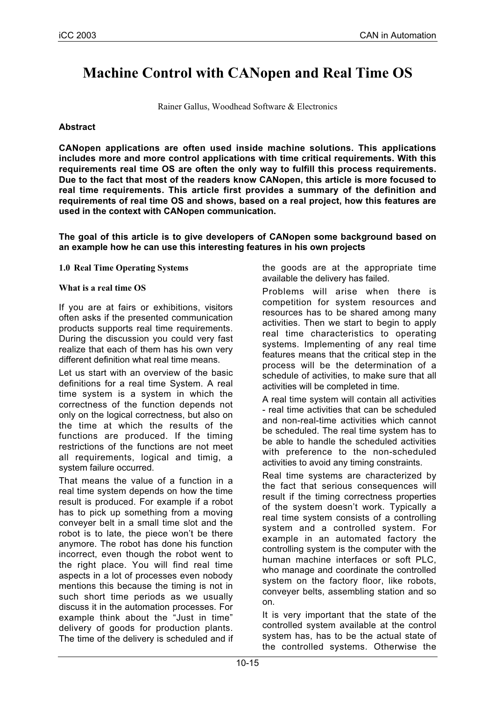# **Machine Control with CANopen and Real Time OS**

Rainer Gallus, Woodhead Software & Electronics

## **Abstract**

**CANopen applications are often used inside machine solutions. This applications includes more and more control applications with time critical requirements. With this requirements real time OS are often the only way to fulfill this process requirements. Due to the fact that most of the readers know CANopen, this article is more focused to real time requirements. This article first provides a summary of the definition and requirements of real time OS and shows, based on a real project, how this features are used in the context with CANopen communication.**

**The goal of this article is to give developers of CANopen some background based on an example how he can use this interesting features in his own projects**

**1.0 Real Time Operating Systems**

#### **What is a real time OS**

If you are at fairs or exhibitions, visitors often asks if the presented communication products supports real time requirements. During the discussion you could very fast realize that each of them has his own very different definition what real time means.

Let us start with an overview of the basic definitions for a real time System. A real time system is a system in which the correctness of the function depends not only on the logical correctness, but also on the time at which the results of the functions are produced. If the timing restrictions of the functions are not meet all requirements, logical and timig, a system failure occurred.

That means the value of a function in a real time system depends on how the time result is produced. For example if a robot has to pick up something from a moving conveyer belt in a small time slot and the robot is to late, the piece won't be there anymore. The robot has done his function incorrect, even though the robot went to the right place. You will find real time aspects in a lot of processes even nobody mentions this because the timing is not in such short time periods as we usually discuss it in the automation processes. For example think about the "Just in time" delivery of goods for production plants. The time of the delivery is scheduled and if the goods are at the appropriate time available the delivery has failed.

Problems will arise when there is competition for system resources and resources has to be shared among many activities. Then we start to begin to apply real time characteristics to operating systems. Implementing of any real time features means that the critical step in the process will be the determination of a schedule of activities, to make sure that all activities will be completed in time.

A real time system will contain all activities - real time activities that can be scheduled and non-real-time activities which cannot be scheduled. The real time system has to be able to handle the scheduled activities with preference to the non-scheduled activities to avoid any timing constraints.

Real time systems are characterized by the fact that serious consequences will result if the timing correctness properties of the system doesn't work. Typically a real time system consists of a controlling system and a controlled system. For example in an automated factory the controlling system is the computer with the human machine interfaces or soft PLC, who manage and coordinate the controlled system on the factory floor, like robots, conveyer belts, assembling station and so on.

It is very important that the state of the controlled system available at the control system has, has to be the actual state of the controlled systems. Otherwise the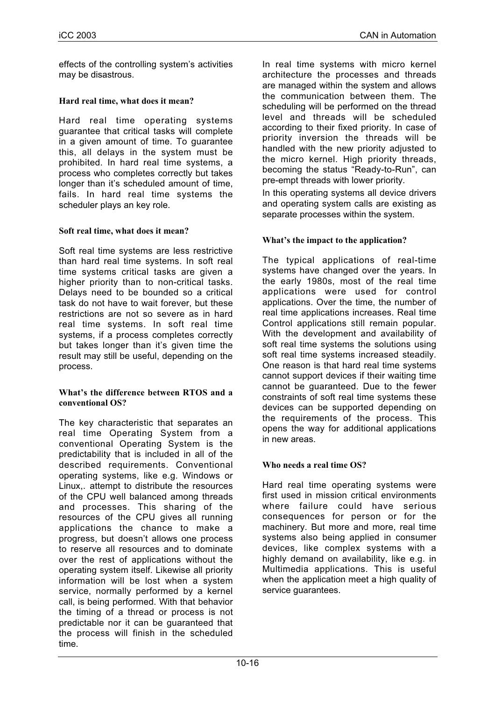effects of the controlling system's activities may be disastrous.

## **Hard real time, what does it mean?**

Hard real time operating systems guarantee that critical tasks will complete in a given amount of time. To guarantee this, all delays in the system must be prohibited. In hard real time systems, a process who completes correctly but takes longer than it's scheduled amount of time, fails. In hard real time systems the scheduler plays an key role.

## **Soft real time, what does it mean?**

Soft real time systems are less restrictive than hard real time systems. In soft real time systems critical tasks are given a higher priority than to non-critical tasks. Delays need to be bounded so a critical task do not have to wait forever, but these restrictions are not so severe as in hard real time systems. In soft real time systems, if a process completes correctly but takes longer than it's given time the result may still be useful, depending on the process.

#### **What's the difference between RTOS and a conventional OS?**

The key characteristic that separates an real time Operating System from a conventional Operating System is the predictability that is included in all of the described requirements. Conventional operating systems, like e.g. Windows or Linux,. attempt to distribute the resources of the CPU well balanced among threads and processes. This sharing of the resources of the CPU gives all running applications the chance to make a progress, but doesn't allows one process to reserve all resources and to dominate over the rest of applications without the operating system itself. Likewise all priority information will be lost when a system service, normally performed by a kernel call, is being performed. With that behavior the timing of a thread or process is not predictable nor it can be guaranteed that the process will finish in the scheduled time.

In real time systems with micro kernel architecture the processes and threads are managed within the system and allows the communication between them. The scheduling will be performed on the thread level and threads will be scheduled according to their fixed priority. In case of priority inversion the threads will be handled with the new priority adjusted to the micro kernel. High priority threads, becoming the status "Ready-to-Run", can pre-empt threads with lower priority.

In this operating systems all device drivers and operating system calls are existing as separate processes within the system.

## **What's the impact to the application?**

The typical applications of real-time systems have changed over the years. In the early 1980s, most of the real time applications were used for control applications. Over the time, the number of real time applications increases. Real time Control applications still remain popular. With the development and availability of soft real time systems the solutions using soft real time systems increased steadily. One reason is that hard real time systems cannot support devices if their waiting time cannot be guaranteed. Due to the fewer constraints of soft real time systems these devices can be supported depending on the requirements of the process. This opens the way for additional applications in new areas.

# **Who needs a real time OS?**

Hard real time operating systems were first used in mission critical environments where failure could have serious consequences for person or for the machinery. But more and more, real time systems also being applied in consumer devices, like complex systems with a highly demand on availability, like e.g. in Multimedia applications. This is useful when the application meet a high quality of service guarantees.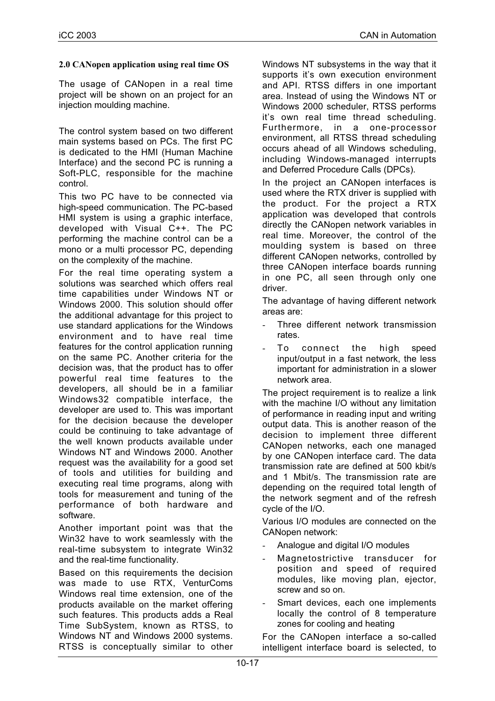# **2.0 CANopen application using real time OS**

The usage of CANopen in a real time project will be shown on an project for an injection moulding machine.

The control system based on two different main systems based on PCs. The first PC is dedicated to the HMI (Human Machine Interface) and the second PC is running a Soft-PLC, responsible for the machine control.

This two PC have to be connected via high-speed communication. The PC-based HMI system is using a graphic interface, developed with Visual C++. The PC performing the machine control can be a mono or a multi processor PC, depending on the complexity of the machine.

For the real time operating system a solutions was searched which offers real time capabilities under Windows NT or Windows 2000. This solution should offer the additional advantage for this project to use standard applications for the Windows environment and to have real time features for the control application running on the same PC. Another criteria for the decision was, that the product has to offer powerful real time features to the developers, all should be in a familiar Windows32 compatible interface, the developer are used to. This was important for the decision because the developer could be continuing to take advantage of the well known products available under Windows NT and Windows 2000. Another request was the availability for a good set of tools and utilities for building and executing real time programs, along with tools for measurement and tuning of the performance of both hardware and software.

Another important point was that the Win32 have to work seamlessly with the real-time subsystem to integrate Win32 and the real-time functionality.

Based on this requirements the decision was made to use RTX, VenturComs Windows real time extension, one of the products available on the market offering such features. This products adds a Real Time SubSystem, known as RTSS, to Windows NT and Windows 2000 systems. RTSS is conceptually similar to other

Windows NT subsystems in the way that it supports it's own execution environment and API. RTSS differs in one important area. Instead of using the Windows NT or Windows 2000 scheduler, RTSS performs it's own real time thread scheduling. Furthermore, in a one-processor environment, all RTSS thread scheduling occurs ahead of all Windows scheduling, including Windows-managed interrupts and Deferred Procedure Calls (DPCs).

In the project an CANopen interfaces is used where the RTX driver is supplied with the product. For the project a RTX application was developed that controls directly the CANopen network variables in real time. Moreover, the control of the moulding system is based on three different CANopen networks, controlled by three CANopen interface boards running in one PC, all seen through only one driver.

The advantage of having different network areas are:

- Three different network transmission rates.
- To connect the high speed input/output in a fast network, the less important for administration in a slower network area.

The project requirement is to realize a link with the machine I/O without any limitation of performance in reading input and writing output data. This is another reason of the decision to implement three different CANopen networks, each one managed by one CANopen interface card. The data transmission rate are defined at 500 kbit/s and 1 Mbit/s. The transmission rate are depending on the required total length of the network segment and of the refresh cycle of the I/O.

Various I/O modules are connected on the CANopen network:

- Analogue and digital I/O modules
- Magnetostrictive transducer for position and speed of required modules, like moving plan, ejector, screw and so on.
- Smart devices, each one implements locally the control of 8 temperature zones for cooling and heating

For the CANopen interface a so-called intelligent interface board is selected, to